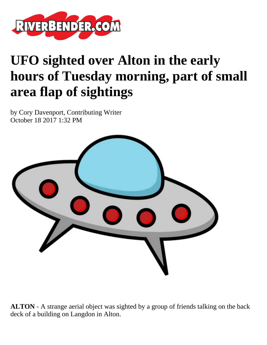

## **UFO sighted over Alton in the early hours of Tuesday morning, part of small area flap of sightings**

by Cory Davenport, Contributing Writer October 18 2017 1:32 PM



**ALTON** - A strange aerial object was sighted by a group of friends talking on the back deck of a building on Langdon in Alton.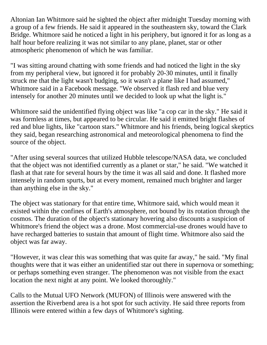Altonian Ian Whitmore said he sighted the object after midnight Tuesday morning with a group of a few friends. He said it appeared in the southeastern sky, toward the Clark Bridge. Whitmore said he noticed a light in his periphery, but ignored it for as long as a half hour before realizing it was not similar to any plane, planet, star or other atmospheric phenomenon of which he was familiar.

"I was sitting around chatting with some friends and had noticed the light in the sky from my peripheral view, but ignored it for probably 20-30 minutes, until it finally struck me that the light wasn't budging, so it wasn't a plane like I had assumed," Whitmore said in a Facebook message. "We observed it flash red and blue very intensely for another 20 minutes until we decided to look up what the light is."

Whitmore said the unidentified flying object was like "a cop car in the sky." He said it was formless at times, but appeared to be circular. He said it emitted bright flashes of red and blue lights, like "cartoon stars." Whitmore and his friends, being logical skeptics they said, began researching astronomical and meteorological phenomena to find the source of the object.

"After using several sources that utilized Hubble telescope/NASA data, we concluded that the object was not identified currently as a planet or star," he said. "We watched it flash at that rate for several hours by the time it was all said and done. It flashed more intensely in random spurts, but at every moment, remained much brighter and larger than anything else in the sky."

The object was stationary for that entire time, Whitmore said, which would mean it existed within the confines of Earth's atmosphere, not bound by its rotation through the cosmos. The duration of the object's stationary hovering also discounts a suspicion of Whitmore's friend the object was a drone. Most commercial-use drones would have to have recharged batteries to sustain that amount of flight time. Whitmore also said the object was far away.

"However, it was clear this was something that was quite far away," he said. "My final thoughts were that it was either an unidentified star out there in supernova or something; or perhaps something even stranger. The phenomenon was not visible from the exact location the next night at any point. We looked thoroughly."

Calls to the Mutual UFO Network (MUFON) of Illinois were answered with the assertion the Riverbend area is a hot spot for such activity. He said three reports from Illinois were entered within a few days of Whitmore's sighting.